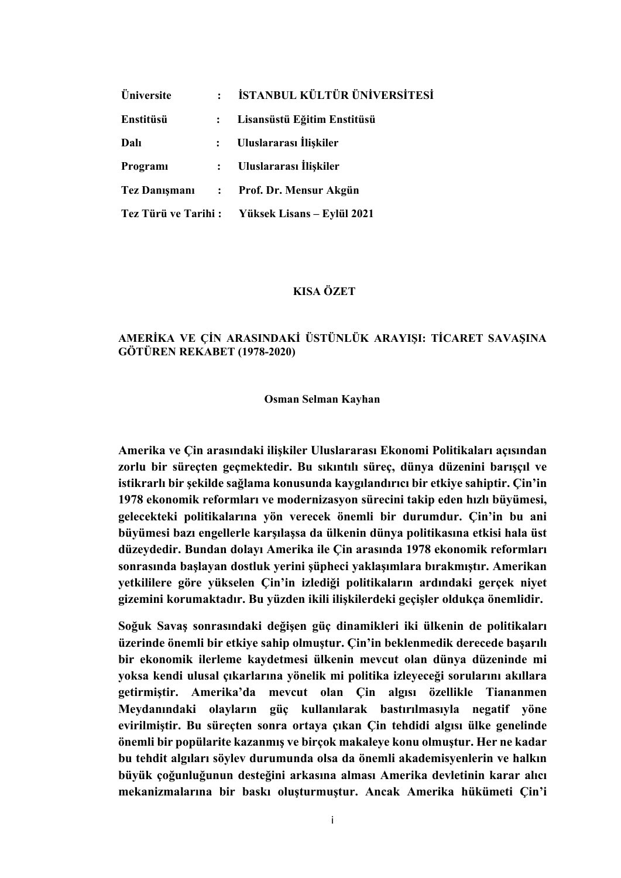| Üniversite           |                      | İSTANBUL KÜLTÜR ÜNİVERSİTESİ |
|----------------------|----------------------|------------------------------|
| Enstitüsü            | $\ddot{\phantom{a}}$ | Lisansüstü Eğitim Enstitüsü  |
| Dalı                 | $\mathbf{L}$         | Uluslararası İlişkiler       |
| Programi             | $\ddot{\cdot}$       | Uluslararası İlişkiler       |
| <b>Tez Danışmanı</b> | $\mathbf{L}$         | Prof. Dr. Mensur Akgün       |
| Tez Türü ve Tarihi:  |                      | Yüksek Lisans - Eylül 2021   |

## **KISA ÖZET**

# **AMERİKA VE ÇİN ARASINDAKİ ÜSTÜNLÜK ARAYIŞI: TİCARET SAVAŞINA GÖTÜREN REKABET (1978-2020)**

### **Osman Selman Kayhan**

**Amerika ve Çin arasındaki ilişkiler Uluslararası Ekonomi Politikaları açısından zorlu bir süreçten geçmektedir. Bu sıkıntılı süreç, dünya düzenini barışçıl ve istikrarlı bir şekilde sağlama konusunda kaygılandırıcı bir etkiye sahiptir. Çin'in 1978 ekonomik reformları ve modernizasyon sürecini takip eden hızlı büyümesi, gelecekteki politikalarına yön verecek önemli bir durumdur. Çin'in bu ani büyümesi bazı engellerle karşılaşsa da ülkenin dünya politikasına etkisi hala üst düzeydedir. Bundan dolayı Amerika ile Çin arasında 1978 ekonomik reformları sonrasında başlayan dostluk yerini şüpheci yaklaşımlara bırakmıştır. Amerikan yetkililere göre yükselen Çin'in izlediği politikaların ardındaki gerçek niyet gizemini korumaktadır. Bu yüzden ikili ilişkilerdeki geçişler oldukça önemlidir.**

**Soğuk Savaş sonrasındaki değişen güç dinamikleri iki ülkenin de politikaları üzerinde önemli bir etkiye sahip olmuştur. Çin'in beklenmedik derecede başarılı bir ekonomik ilerleme kaydetmesi ülkenin mevcut olan dünya düzeninde mi yoksa kendi ulusal çıkarlarına yönelik mi politika izleyeceği sorularını akıllara getirmiştir. Amerika'da mevcut olan Çin algısı özellikle Tiananmen Meydanındaki olayların güç kullanılarak bastırılmasıyla negatif yöne evirilmiştir. Bu süreçten sonra ortaya çıkan Çin tehdidi algısı ülke genelinde önemli bir popülarite kazanmış ve birçok makaleye konu olmuştur. Her ne kadar bu tehdit algıları söylev durumunda olsa da önemli akademisyenlerin ve halkın büyük çoğunluğunun desteğini arkasına alması Amerika devletinin karar alıcı mekanizmalarına bir baskı oluşturmuştur. Ancak Amerika hükümeti Çin'i**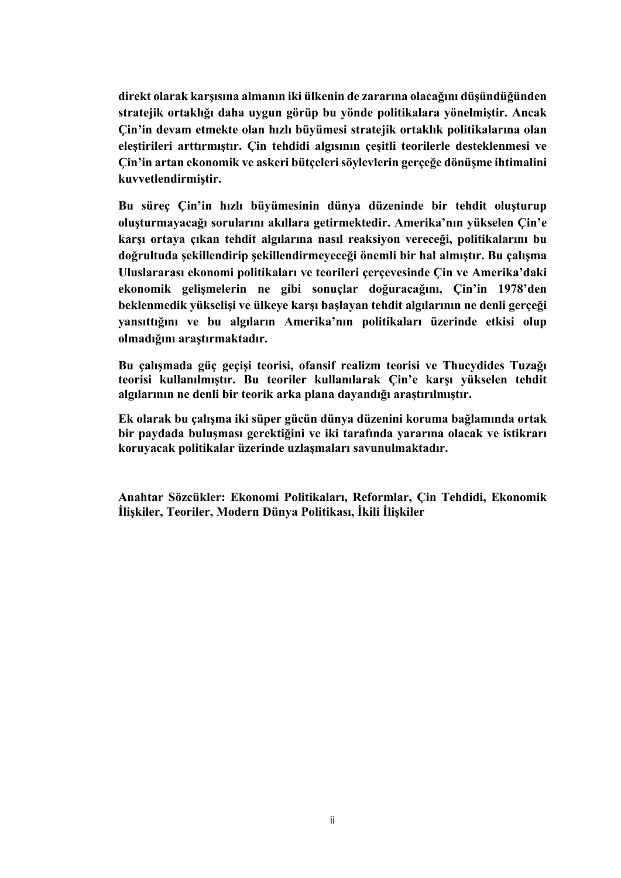**direkt olarak karşısına almanın iki ülkenin de zararına olacağını düşündüğünden stratejik ortaklığı daha uygun görüp bu yönde politikalara yönelmiştir. Ancak Çin'in devam etmekte olan hızlı büyümesi stratejik ortaklık politikalarına olan eleştirileri arttırmıştır. Çin tehdidi algısının çeşitli teorilerle desteklenmesi ve Çin'in artan ekonomik ve askeri bütçeleri söylevlerin gerçeğe dönüşme ihtimalini kuvvetlendirmiştir.** 

**Bu süreç Çin'in hızlı büyümesinin dünya düzeninde bir tehdit oluşturup oluşturmayacağı sorularını akıllara getirmektedir. Amerika'nın yükselen Çin'e karşı ortaya çıkan tehdit algılarına nasıl reaksiyon vereceği, politikalarını bu doğrultuda şekillendirip şekillendirmeyeceği önemli bir hal almıştır. Bu çalışma Uluslararası ekonomi politikaları ve teorileri çerçevesinde Çin ve Amerika'daki ekonomik gelişmelerin ne gibi sonuçlar doğuracağını, Çin'in 1978'den beklenmedik yükselişi ve ülkeye karşı başlayan tehdit algılarının ne denli gerçeği yansıttığını ve bu algıların Amerika'nın politikaları üzerinde etkisi olup olmadığını araştırmaktadır.**

**Bu çalışmada güç geçişi teorisi, ofansif realizm teorisi ve Thucydides Tuzağı teorisi kullanılmıştır. Bu teoriler kullanılarak Çin'e karşı yükselen tehdit algılarının ne denli bir teorik arka plana dayandığı araştırılmıştır.** 

**Ek olarak bu çalışma iki süper gücün dünya düzenini koruma bağlamında ortak bir paydada buluşması gerektiğini ve iki tarafında yararına olacak ve istikrarı koruyacak politikalar üzerinde uzlaşmaları savunulmaktadır.** 

**Anahtar Sözcükler: Ekonomi Politikaları, Reformlar, Çin Tehdidi, Ekonomik İlişkiler, Teoriler, Modern Dünya Politikası, İkili İlişkiler**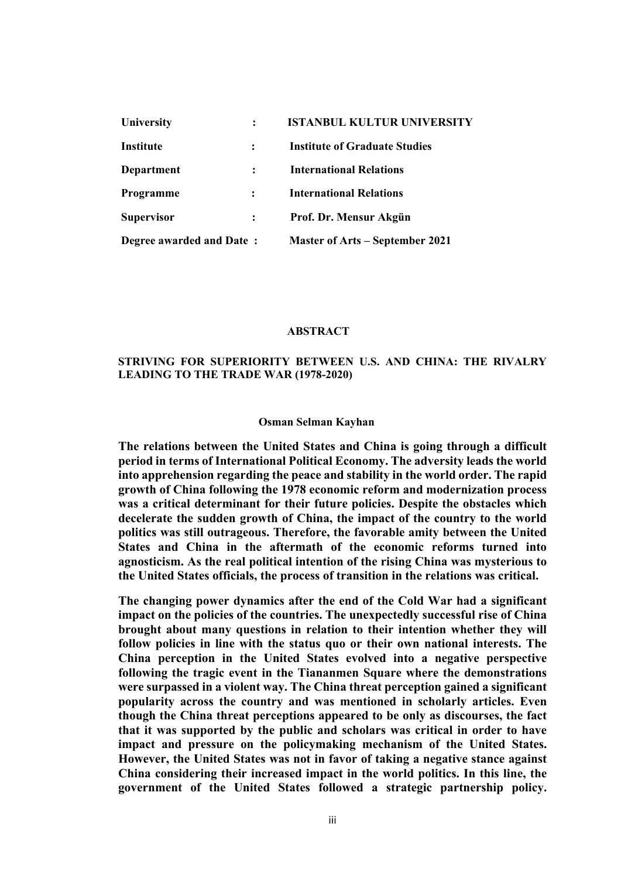| University               | <b>ISTANBUL KULTUR UNIVERSITY</b>      |
|--------------------------|----------------------------------------|
| <b>Institute</b>         | <b>Institute of Graduate Studies</b>   |
| Department               | <b>International Relations</b>         |
| Programme                | <b>International Relations</b>         |
| <b>Supervisor</b>        | Prof. Dr. Mensur Akgün                 |
| Degree awarded and Date: | <b>Master of Arts – September 2021</b> |

#### **ABSTRACT**

## **STRIVING FOR SUPERIORITY BETWEEN U.S. AND CHINA: THE RIVALRY LEADING TO THE TRADE WAR (1978-2020)**

### **Osman Selman Kayhan**

**The relations between the United States and China is going through a difficult period in terms of International Political Economy. The adversity leads the world into apprehension regarding the peace and stability in the world order. The rapid growth of China following the 1978 economic reform and modernization process was a critical determinant for their future policies. Despite the obstacles which decelerate the sudden growth of China, the impact of the country to the world politics was still outrageous. Therefore, the favorable amity between the United States and China in the aftermath of the economic reforms turned into agnosticism. As the real political intention of the rising China was mysterious to the United States officials, the process of transition in the relations was critical.**

**The changing power dynamics after the end of the Cold War had a significant impact on the policies of the countries. The unexpectedly successful rise of China brought about many questions in relation to their intention whether they will follow policies in line with the status quo or their own national interests. The China perception in the United States evolved into a negative perspective following the tragic event in the Tiananmen Square where the demonstrations were surpassed in a violent way. The China threat perception gained a significant popularity across the country and was mentioned in scholarly articles. Even though the China threat perceptions appeared to be only as discourses, the fact that it was supported by the public and scholars was critical in order to have impact and pressure on the policymaking mechanism of the United States. However, the United States was not in favor of taking a negative stance against China considering their increased impact in the world politics. In this line, the government of the United States followed a strategic partnership policy.**